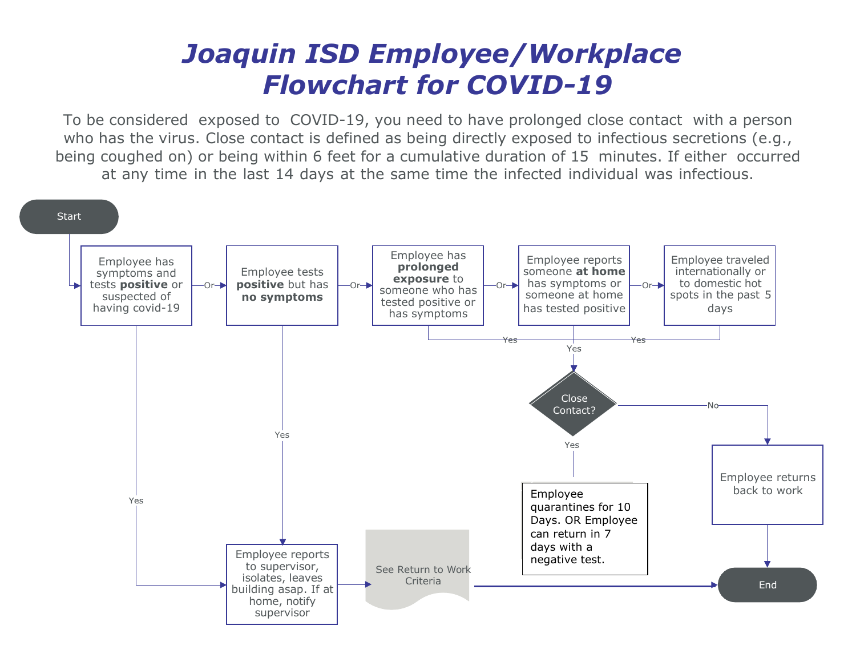## *Joaquin ISD Employee/Workplace Flowchart for COVID-19*

To be considered exposed to COVID-19, you need to have prolonged close contact with a person who has the virus. Close contact is defined as being directly exposed to infectious secretions (e.g., being coughed on) or being within 6 feet for a cumulative duration of 15 minutes. If either occurred at any time in the last 14 days at the same time the infected individual was infectious.